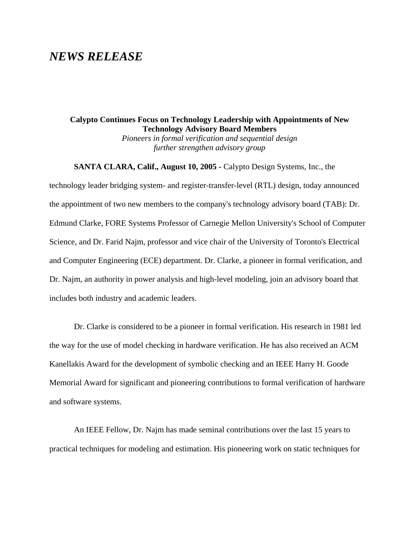## *NEWS RELEASE*

## **Calypto Continues Focus on Technology Leadership with Appointments of New Technology Advisory Board Members**

*Pioneers in formal verification and sequential design further strengthen advisory group*

**SANTA CLARA, Calif., August 10, 2005 -** Calypto Design Systems, Inc., the technology leader bridging system- and register-transfer-level (RTL) design, today announced the appointment of two new members to the company's technology advisory board (TAB): Dr. Edmund Clarke, FORE Systems Professor of Carnegie Mellon University's School of Computer Science, and Dr. Farid Najm, professor and vice chair of the University of Toronto's Electrical and Computer Engineering (ECE) department. Dr. Clarke, a pioneer in formal verification, and Dr. Najm, an authority in power analysis and high-level modeling, join an advisory board that includes both industry and academic leaders.

Dr. Clarke is considered to be a pioneer in formal verification. His research in 1981 led the way for the use of model checking in hardware verification. He has also received an ACM Kanellakis Award for the development of symbolic checking and an IEEE Harry H. Goode Memorial Award for significant and pioneering contributions to formal verification of hardware and software systems.

An IEEE Fellow, Dr. Najm has made seminal contributions over the last 15 years to practical techniques for modeling and estimation. His pioneering work on static techniques for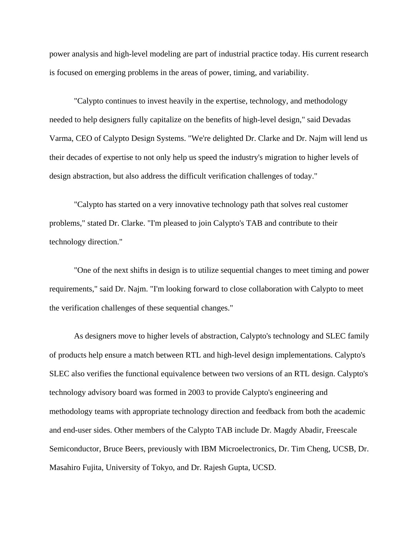power analysis and high-level modeling are part of industrial practice today. His current research is focused on emerging problems in the areas of power, timing, and variability.

"Calypto continues to invest heavily in the expertise, technology, and methodology needed to help designers fully capitalize on the benefits of high-level design," said Devadas Varma, CEO of Calypto Design Systems. "We're delighted Dr. Clarke and Dr. Najm will lend us their decades of expertise to not only help us speed the industry's migration to higher levels of design abstraction, but also address the difficult verification challenges of today."

"Calypto has started on a very innovative technology path that solves real customer problems," stated Dr. Clarke. "I'm pleased to join Calypto's TAB and contribute to their technology direction."

"One of the next shifts in design is to utilize sequential changes to meet timing and power requirements," said Dr. Najm. "I'm looking forward to close collaboration with Calypto to meet the verification challenges of these sequential changes."

As designers move to higher levels of abstraction, Calypto's technology and SLEC family of products help ensure a match between RTL and high-level design implementations. Calypto's SLEC also verifies the functional equivalence between two versions of an RTL design. Calypto's technology advisory board was formed in 2003 to provide Calypto's engineering and methodology teams with appropriate technology direction and feedback from both the academic and end-user sides. Other members of the Calypto TAB include Dr. Magdy Abadir, Freescale Semiconductor, Bruce Beers, previously with IBM Microelectronics, Dr. Tim Cheng, UCSB, Dr. Masahiro Fujita, University of Tokyo, and Dr. Rajesh Gupta, UCSD.